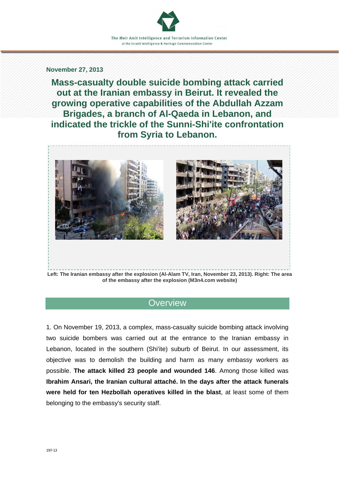#### **November 27, 2013**

**Mass-casualty double suicide bombing attack carried out at the Iranian embassy in Beirut. It revealed the growing operative capabilities of the Abdullah Azzam Brigades, a branch of Al-Qaeda in Lebanon, and indicated the trickle of the Sunni-Shi'ite confrontation from Syria to Lebanon.** 



# **Overview**

1. On November 19, 2013, a complex, mass-casualty suicide bombing attack involving two suicide bombers was carried out at the entrance to the Iranian embassy in Lebanon, located in the southern (Shi'ite) suburb of Beirut. In our assessment, its objective was to demolish the building and harm as many embassy workers as possible. **The attack killed 23 people and wounded 146**. Among those killed was **Ibrahim Ansari, the Iranian cultural attaché. In the days after the attack funerals were held for ten Hezbollah operatives killed in the blast**, at least some of them belonging to the embassy's security staff.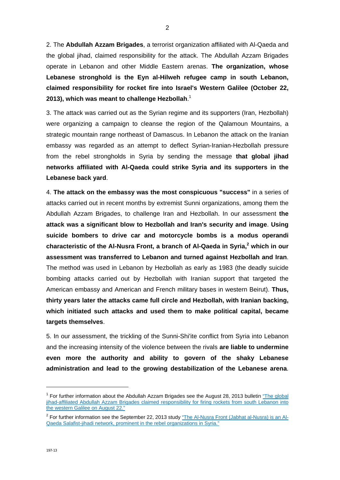2. The **Abdullah Azzam Brigades**, a terrorist organization affiliated with Al-Qaeda and the global jihad, claimed responsibility for the attack. The Abdullah Azzam Brigades operate in Lebanon and other Middle Eastern arenas. **The organization, whose Lebanese stronghold is the Eyn al-Hilweh refugee camp in south Lebanon, claimed responsibility for rocket fire into Israel's Western Galilee (October 22, 2013), which was meant to challenge Hezbollah**. 1

3. The attack was carried out as the Syrian regime and its supporters (Iran, Hezbollah) were organizing a campaign to cleanse the region of the Qalamoun Mountains, a strategic mountain range northeast of Damascus. In Lebanon the attack on the Iranian embassy was regarded as an attempt to deflect Syrian-Iranian-Hezbollah pressure from the rebel strongholds in Syria by sending the message **that global jihad networks affiliated with Al-Qaeda could strike Syria and its supporters in the Lebanese back yard**.

4. **The attack on the embassy was the most conspicuous "success"** in a series of attacks carried out in recent months by extremist Sunni organizations, among them the Abdullah Azzam Brigades, to challenge Iran and Hezbollah. In our assessment **the attack was a significant blow to Hezbollah and Iran's security and image**. **Using suicide bombers to drive car and motorcycle bombs is a modus operandi**  characteristic of the Al-Nusra Front, a branch of Al-Qaeda in Syria,<sup>2</sup> which in our **assessment was transferred to Lebanon and turned against Hezbollah and Iran**. The method was used in Lebanon by Hezbollah as early as 1983 (the deadly suicide bombing attacks carried out by Hezbollah with Iranian support that targeted the American embassy and American and French military bases in western Beirut). **Thus, thirty years later the attacks came full circle and Hezbollah, with Iranian backing, which initiated such attacks and used them to make political capital, became targets themselves**.

5. In our assessment, the trickling of the Sunni-Shi'ite conflict from Syria into Lebanon and the increasing intensity of the violence between the rivals **are liable to undermine even more the authority and ability to govern of the shaky Lebanese administration and lead to the growing destabilization of the Lebanese arena**.

-

<sup>&</sup>lt;sup>1</sup> For further information about the Abdullah Azzam Brigades see the August 28, 2013 bulletin "The global jihad-affiliated Abdullah Azzam Brigades claimed responsibility for firing rockets from south Lebanon into the western Galilee on August 22."

<sup>&</sup>lt;sup>2</sup> [For further information see the September 22, 2013 study "The Al-Nusra Front \(Jabhat al-Nusra\) is an Al-](http://www.terrorism-info.org.il/en/article/20573)Qaeda Salafist-jihadi network, prominent in the rebel organizations in Syria."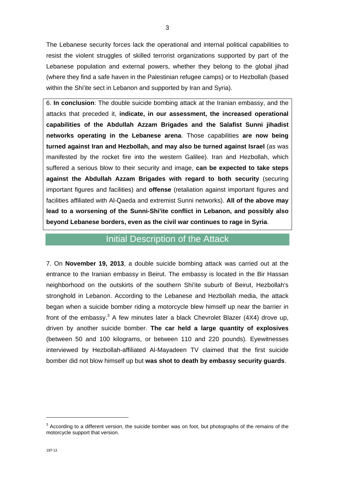The Lebanese security forces lack the operational and internal political capabilities to resist the violent struggles of skilled terrorist organizations supported by part of the Lebanese population and external powers, whether they belong to the global jihad (where they find a safe haven in the Palestinian refugee camps) or to Hezbollah (based within the Shi'ite sect in Lebanon and supported by Iran and Syria).

6. **In conclusion**: The double suicide bombing attack at the Iranian embassy, and the attacks that preceded it, **indicate, in our assessment, the increased operational capabilities of the Abdullah Azzam Brigades and the Salafist Sunni jihadist networks operating in the Lebanese arena**. Those capabilities **are now being turned against Iran and Hezbollah, and may also be turned against Israel** (as was manifested by the rocket fire into the western Galilee). Iran and Hezbollah, which suffered a serious blow to their security and image, **can be expected to take steps against the Abdullah Azzam Brigades with regard to both security** (securing important figures and facilities) and **offense** (retaliation against important figures and facilities affiliated with Al-Qaeda and extremist Sunni networks). **All of the above may lead to a worsening of the Sunni-Shi'ite conflict in Lebanon, and possibly also beyond Lebanese borders, even as the civil war continues to rage in Syria**.

### Initial Description of the Attack

7. On **November 19, 2013**, a double suicide bombing attack was carried out at the entrance to the Iranian embassy in Beirut. The embassy is located in the Bir Hassan neighborhood on the outskirts of the southern Shi'ite suburb of Beirut, Hezbollah's stronghold in Lebanon. According to the Lebanese and Hezbollah media, the attack began when a suicide bomber riding a motorcycle blew himself up near the barrier in front of the embassy. $3$  A few minutes later a black Chevrolet Blazer (4X4) drove up, driven by another suicide bomber. **The car held a large quantity of explosives** (between 50 and 100 kilograms, or between 110 and 220 pounds). Eyewitnesses interviewed by Hezbollah-affiliated Al-Mayadeen TV claimed that the first suicide bomber did not blow himself up but **was shot to death by embassy security guards**.

1

 $3$  According to a different version, the suicide bomber was on foot, but photographs of the remains of the motorcycle support that version.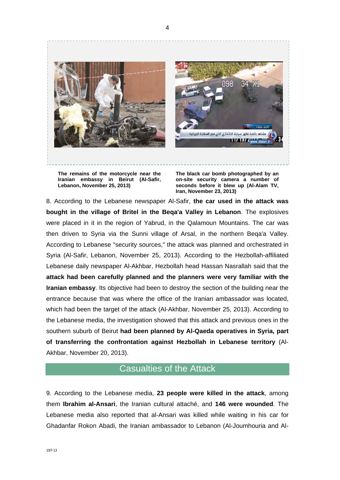

4

**The remains of the motorcycle near the Iranian embassy in Beirut (Al-Safir, Lebanon, November 25, 2013)** 

**The black car bomb photographed by an on-site security camera a number of seconds before it blew up (Al-Alam TV, Iran, November 23, 2013)** 

8. According to the Lebanese newspaper Al-Safir, **the car used in the attack was bought in the village of Britel in the Beqa'a Valley in Lebanon**. The explosives were placed in it in the region of Yabrud, in the Qalamoun Mountains. The car was then driven to Syria via the Sunni village of Arsal, in the northern Beqa'a Valley. According to Lebanese "security sources," the attack was planned and orchestrated in Syria (Al-Safir, Lebanon, November 25, 2013). According to the Hezbollah-affiliated Lebanese daily newspaper Al-Akhbar, Hezbollah head Hassan Nasrallah said that the **attack had been carefully planned and the planners were very familiar with the Iranian embassy**. Its objective had been to destroy the section of the building near the entrance because that was where the office of the Iranian ambassador was located, which had been the target of the attack (Al-Akhbar, November 25, 2013). According to the Lebanese media, the investigation showed that this attack and previous ones in the southern suburb of Beirut **had been planned by Al-Qaeda operatives in Syria, part of transferring the confrontation against Hezbollah in Lebanese territory** (Al-Akhbar, November 20, 2013).

# Casualties of the Attack

9. According to the Lebanese media, **23 people were killed in the attack**, among them **Ibrahim al-Ansari**, the Iranian cultural attaché, and **146 were wounded**. The Lebanese media also reported that al-Ansari was killed while waiting in his car for Ghadanfar Rokon Abadi, the Iranian ambassador to Lebanon (Al-Joumhouria and Al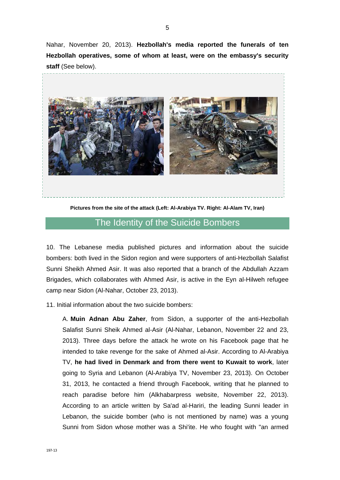Nahar, November 20, 2013). **Hezbollah's media reported the funerals of ten Hezbollah operatives, some of whom at least, were on the embassy's security staff** (See below).



**Pictures from the site of the attack (Left: Al-Arabiya TV. Right: Al-Alam TV, Iran)** 

# The Identity of the Suicide Bombers

10. The Lebanese media published pictures and information about the suicide bombers: both lived in the Sidon region and were supporters of anti-Hezbollah Salafist Sunni Sheikh Ahmed Asir. It was also reported that a branch of the Abdullah Azzam Brigades, which collaborates with Ahmed Asir, is active in the Eyn al-Hilweh refugee camp near Sidon (Al-Nahar, October 23, 2013).

11. Initial information about the two suicide bombers:

A. **Muin Adnan Abu Zaher**, from Sidon, a supporter of the anti-Hezbollah Salafist Sunni Sheik Ahmed al-Asir (Al-Nahar, Lebanon, November 22 and 23, 2013). Three days before the attack he wrote on his Facebook page that he intended to take revenge for the sake of Ahmed al-Asir. According to Al-Arabiya TV, **he had lived in Denmark and from there went to Kuwait to work**, later going to Syria and Lebanon (Al-Arabiya TV, November 23, 2013). On October 31, 2013, he contacted a friend through Facebook, writing that he planned to reach paradise before him (Alkhabarpress website, November 22, 2013). According to an article written by Sa'ad al-Hariri, the leading Sunni leader in Lebanon, the suicide bomber (who is not mentioned by name) was a young Sunni from Sidon whose mother was a Shi'ite. He who fought with "an armed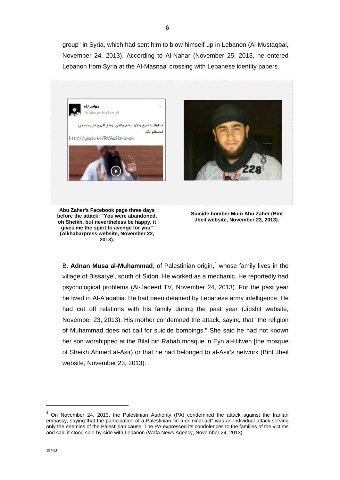group" in Syria, which had sent him to blow himself up in Lebanon (Al-Mustaqbal, November 24, 2013). According to Al-Nahar (November 25, 2013, he entered Lebanon from Syria at the Al-Masnaa' crossing with Lebanese identity papers.



B. Adnan Musa al-Muhammad, of Palestinian origin,<sup>4</sup> whose family lives in the village of Bissarye', south of Sidon. He worked as a mechanic. He reportedly had psychological problems (Al-Jadeed TV, November 24, 2013). For the past year he lived in Al-A'aqabia. He had been detained by Lebanese army intelligence. He had cut off relations with his family during the past year (Jibshit website, November 23, 2013). His mother condemned the attack, saying that "the religion of Muhammad does not call for suicide bombings." She said he had not known her son worshipped at the Bilal bin Rabah mosque in Eyn al-Hilweh [the mosque of Sheikh Ahmed al-Asir) or that he had belonged to al-Asir's network (Bint Jbeil website, November 23, 2013).

-

 $4$  On November 24, 2013, the Palestinian Authority (PA) condemned the attack against the Iranian embassy, saying that the participation of a Palestinian "in a criminal act" was an individual attack serving only the enemies of the Palestinian cause. The PA expressed its condolences to the families of the victims and said it stood side-by-side with Lebanon (Wafa News Agency, November 24, 2013).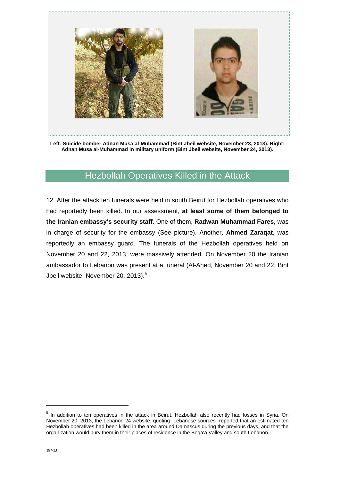

**Left: Suicide bomber Adnan Musa al-Muhammad (Bint Jbeil website, November 23, 2013). Right: Adnan Musa al-Muhammad in military uniform (Bint Jbeil website, November 24, 2013).** 

# Hezbollah Operatives Killed in the Attack

12. After the attack ten funerals were held in south Beirut for Hezbollah operatives who had reportedly been killed. In our assessment, **at least some of them belonged to the Iranian embassy's security staff**. One of them, **Radwan Muhammad Fares**, was in charge of security for the embassy (See picture). Another, **Ahmed Zaraqat**, was reportedly an embassy guard. The funerals of the Hezbollah operatives held on November 20 and 22, 2013, were massively attended. On November 20 the Iranian ambassador to Lebanon was present at a funeral (Al-Ahed, November 20 and 22; Bint Jbeil website, November 20, 2013).<sup>5</sup>

-

<sup>&</sup>lt;sup>5</sup> In addition to ten operatives in the attack in Beirut, Hezbollah also recently had losses in Syria. On November 20, 2013, the Lebanon 24 website, quoting "Lebanese sources" reported that an estimated ten Hezbollah operatives had been killed in the area around Damascus during the previous days, and that the organization would bury them in their places of residence in the Beqa'a Valley and south Lebanon.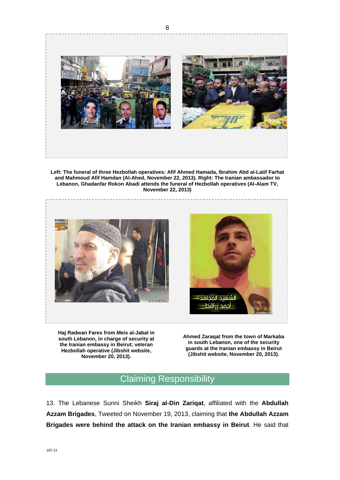

**Left: The funeral of three Hezbollah operatives: Afif Ahmed Hamada, Ibrahim Abd al-Latif Farhat and Mahmoud Afif Hamdan (Al-Ahed, November 22, 2013). Right: The Iranian ambassador to Lebanon, Ghadanfar Rokon Abadi attends the funeral of Hezbollah operatives (Al-Alam TV, November 22, 2013)** 





**Haj Radwan Fares from Meis al-Jabal in south Lebanon, in charge of security at the Iranian embassy in Beirut; veteran Hezbollah operative (Jibshit website, November 20, 2013).** 

**Ahmed Zaraqat from the town of Markaba in south Lebanon, one of the security guards at the Iranian embassy in Beirut (Jibshit website, November 20, 2013).** 

# Claiming Responsibility

13. The Lebanese Sunni Sheikh **Siraj al-Din Zariqat**, affiliated with the **Abdullah Azzam Brigades**, Tweeted on November 19, 2013, claiming that **the Abdullah Azzam Brigades were behind the attack on the Iranian embassy in Beirut**. He said that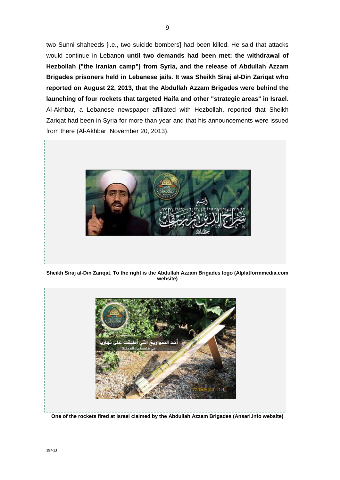two Sunni shaheeds [i.e., two suicide bombers] had been killed. He said that attacks would continue in Lebanon **until two demands had been met: the withdrawal of Hezbollah ("the Iranian camp") from Syria, and the release of Abdullah Azzam Brigades prisoners held in Lebanese jails**. **It was Sheikh Siraj al-Din Zariqat who reported on August 22, 2013, that the Abdullah Azzam Brigades were behind the launching of four rockets that targeted Haifa and other "strategic areas" in Israel**. Al-Akhbar, a Lebanese newspaper affiliated with Hezbollah, reported that Sheikh Zariqat had been in Syria for more than year and that his announcements were issued from there (Al-Akhbar, November 20, 2013).



**Sheikh Siraj al-Din Zariqat. To the right is the Abdullah Azzam Brigades logo (Alplatformmedia.com website)** 



**One of the rockets fired at Israel claimed by the Abdullah Azzam Brigades (Ansari.info website)**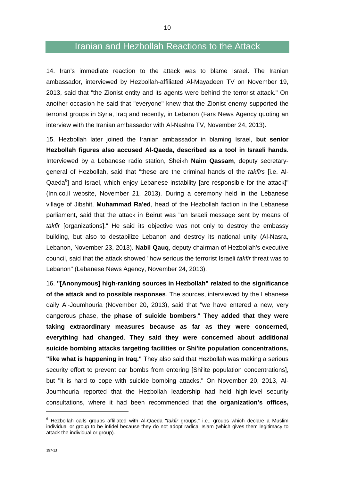### Iranian and Hezbollah Reactions to the Attack

14. Iran's immediate reaction to the attack was to blame Israel. The Iranian ambassador, interviewed by Hezbollah-affiliated Al-Mayadeen TV on November 19, 2013, said that "the Zionist entity and its agents were behind the terrorist attack." On another occasion he said that "everyone" knew that the Zionist enemy supported the terrorist groups in Syria, Iraq and recently, in Lebanon (Fars News Agency quoting an interview with the Iranian ambassador with Al-Nashra TV, November 24, 2013).

15. Hezbollah later joined the Iranian ambassador in blaming Israel, **but senior Hezbollah figures also accused Al-Qaeda, described as a tool in Israeli hands**. Interviewed by a Lebanese radio station, Sheikh **Naim Qassam**, deputy secretarygeneral of Hezbollah, said that "these are the criminal hands of the *takfirs* [i.e. Al-Qaeda<sup>6</sup>] and Israel, which enjoy Lebanese instability [are responsible for the attack]" (Inn.co.il website, November 21, 2013). During a ceremony held in the Lebanese village of Jibshit, **Muhammad Ra'ed**, head of the Hezbollah faction in the Lebanese parliament, said that the attack in Beirut was "an Israeli message sent by means of *takfir* [organizations]." He said its objective was not only to destroy the embassy building, but also to destabilize Lebanon and destroy its national unity (Al-Nasra, Lebanon, November 23, 2013). **Nabil Qauq**, deputy chairman of Hezbollah's executive council, said that the attack showed "how serious the terrorist Israeli *takfir* threat was to Lebanon" (Lebanese News Agency, November 24, 2013).

16. **"[Anonymous] high-ranking sources in Hezbollah" related to the significance of the attack and to possible responses**. The sources, interviewed by the Lebanese daily Al-Joumhouria (November 20, 2013), said that "we have entered a new, very dangerous phase, **the phase of suicide bombers**." **They added that they were taking extraordinary measures because as far as they were concerned, everything had changed**. **They said they were concerned about additional suicide bombing attacks targeting facilities or Shi'ite population concentrations, "like what is happening in Iraq."** They also said that Hezbollah was making a serious security effort to prevent car bombs from entering [Shi'ite population concentrations], but "it is hard to cope with suicide bombing attacks." On November 20, 2013, Al-Joumhouria reported that the Hezbollah leadership had held high-level security consultations, where it had been recommended that **the organization's offices,** 

1

<sup>6</sup> Hezbollah calls groups affiliated with Al-Qaeda "*takfir* groups," i.e., groups which declare a Muslim individual or group to be infidel because they do not adopt radical Islam (which gives them legitimacy to attack the individual or group).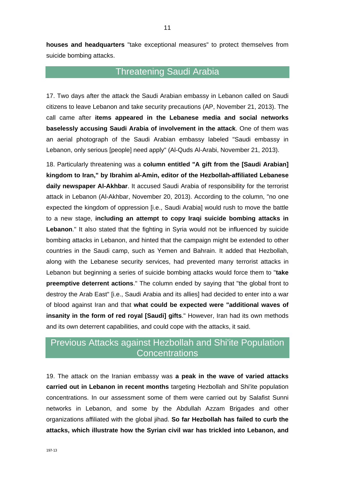**houses and headquarters** "take exceptional measures" to protect themselves from suicide bombing attacks.

# Threatening Saudi Arabia

17. Two days after the attack the Saudi Arabian embassy in Lebanon called on Saudi citizens to leave Lebanon and take security precautions (AP, November 21, 2013). The call came after **items appeared in the Lebanese media and social networks baselessly accusing Saudi Arabia of involvement in the attack**. One of them was an aerial photograph of the Saudi Arabian embassy labeled "Saudi embassy in Lebanon, only serious [people] need apply" (Al-Quds Al-Arabi, November 21, 2013).

18. Particularly threatening was a **column entitled "A gift from the [Saudi Arabian] kingdom to Iran," by Ibrahim al-Amin, editor of the Hezbollah-affiliated Lebanese daily newspaper Al-Akhbar**. It accused Saudi Arabia of responsibility for the terrorist attack in Lebanon (Al-Akhbar, November 20, 2013). According to the column, "no one expected the kingdom of oppression [i.e., Saudi Arabia] would rush to move the battle to a new stage, **including an attempt to copy Iraqi suicide bombing attacks in Lebanon**." It also stated that the fighting in Syria would not be influenced by suicide bombing attacks in Lebanon, and hinted that the campaign might be extended to other countries in the Saudi camp, such as Yemen and Bahrain. It added that Hezbollah, along with the Lebanese security services, had prevented many terrorist attacks in Lebanon but beginning a series of suicide bombing attacks would force them to "**take preemptive deterrent actions**." The column ended by saying that "the global front to destroy the Arab East" [i.e., Saudi Arabia and its allies] had decided to enter into a war of blood against Iran and that **what could be expected were "additional waves of insanity in the form of red royal [Saudi] gifts**." However, Iran had its own methods and its own deterrent capabilities, and could cope with the attacks, it said.

# Previous Attacks against Hezbollah and Shi'ite Population **Concentrations**

19. The attack on the Iranian embassy was **a peak in the wave of varied attacks carried out in Lebanon in recent months** targeting Hezbollah and Shi'ite population concentrations. In our assessment some of them were carried out by Salafist Sunni networks in Lebanon, and some by the Abdullah Azzam Brigades and other organizations affiliated with the global jihad. **So far Hezbollah has failed to curb the attacks, which illustrate how the Syrian civil war has trickled into Lebanon, and**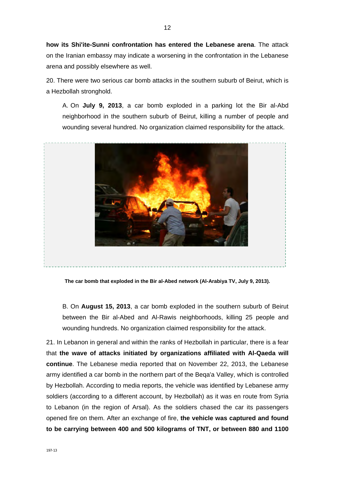**how its Shi'ite-Sunni confrontation has entered the Lebanese arena**. The attack on the Iranian embassy may indicate a worsening in the confrontation in the Lebanese arena and possibly elsewhere as well.

20. There were two serious car bomb attacks in the southern suburb of Beirut, which is a Hezbollah stronghold.

A. On **July 9, 2013**, a car bomb exploded in a parking lot the Bir al-Abd neighborhood in the southern suburb of Beirut, killing a number of people and wounding several hundred. No organization claimed responsibility for the attack.



**The car bomb that exploded in the Bir al-Abed network (Al-Arabiya TV, July 9, 2013).** 

B. On **August 15, 2013**, a car bomb exploded in the southern suburb of Beirut between the Bir al-Abed and Al-Rawis neighborhoods, killing 25 people and wounding hundreds. No organization claimed responsibility for the attack.

21. In Lebanon in general and within the ranks of Hezbollah in particular, there is a fear that **the wave of attacks initiated by organizations affiliated with Al-Qaeda will continue**. The Lebanese media reported that on November 22, 2013, the Lebanese army identified a car bomb in the northern part of the Beqa'a Valley, which is controlled by Hezbollah. According to media reports, the vehicle was identified by Lebanese army soldiers (according to a different account, by Hezbollah) as it was en route from Syria to Lebanon (in the region of Arsal). As the soldiers chased the car its passengers opened fire on them. After an exchange of fire, **the vehicle was captured and found to be carrying between 400 and 500 kilograms of TNT, or between 880 and 1100**